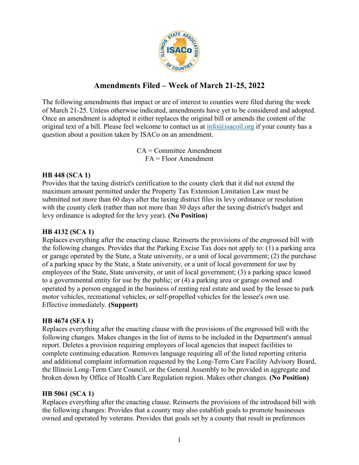

# **Amendments Filed – Week of March 21-25, 2022**

The following amendments that impact or are of interest to counties were filed during the week of March 21-25. Unless otherwise indicated, amendments have yet to be considered and adopted. Once an amendment is adopted it either replaces the original bill or amends the content of the original text of a bill. Please feel welcome to contact us at  $info@$  is a set of your county has a question about a position taken by ISACo on an amendment.

> CA = Committee Amendment FA = Floor Amendment

#### **HB 448 (SCA 1)**

Provides that the taxing district's certification to the county clerk that it did not extend the maximum amount permitted under the Property Tax Extension Limitation Law must be submitted not more than 60 days after the taxing district files its levy ordinance or resolution with the county clerk (rather than not more than 30 days after the taxing district's budget and levy ordinance is adopted for the levy year). **(No Position)**

#### **HB 4132 (SCA 1)**

Replaces everything after the enacting clause. Reinserts the provisions of the engrossed bill with the following changes. Provides that the Parking Excise Tax does not apply to: (1) a parking area or garage operated by the State, a State university, or a unit of local government; (2) the purchase of a parking space by the State, a State university, or a unit of local government for use by employees of the State, State university, or unit of local government; (3) a parking space leased to a governmental entity for use by the public; or (4) a parking area or garage owned and operated by a person engaged in the business of renting real estate and used by the lessee to park motor vehicles, recreational vehicles, or self-propelled vehicles for the lessee's own use. Effective immediately. **(Support)**

## **HB 4674 (SFA 1)**

Replaces everything after the enacting clause with the provisions of the engrossed bill with the following changes. Makes changes in the list of items to be included in the Department's annual report. Deletes a provision requiring employees of local agencies that inspect facilities to complete continuing education. Removes language requiring all of the listed reporting criteria and additional complaint information requested by the Long-Term Care Facility Advisory Board, the Illinois Long-Term Care Council, or the General Assembly to be provided in aggregate and broken down by Office of Health Care Regulation region. Makes other changes. **(No Position)**

## **HB 5061 (SCA 1)**

Replaces everything after the enacting clause. Reinserts the provisions of the introduced bill with the following changes: Provides that a county may also establish goals to promote businesses owned and operated by veterans. Provides that goals set by a county that result in preferences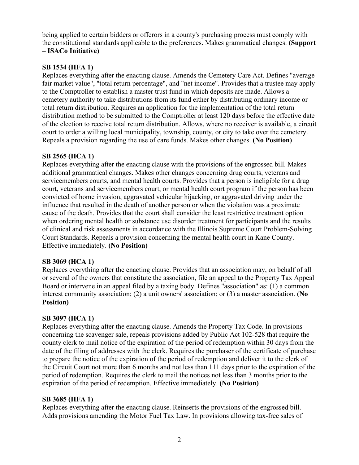being applied to certain bidders or offerors in a county's purchasing process must comply with the constitutional standards applicable to the preferences. Makes grammatical changes. **(Support – ISACo Initiative)**

## **SB 1534 (HFA 1)**

Replaces everything after the enacting clause. Amends the Cemetery Care Act. Defines "average fair market value", "total return percentage", and "net income". Provides that a trustee may apply to the Comptroller to establish a master trust fund in which deposits are made. Allows a cemetery authority to take distributions from its fund either by distributing ordinary income or total return distribution. Requires an application for the implementation of the total return distribution method to be submitted to the Comptroller at least 120 days before the effective date of the election to receive total return distribution. Allows, where no receiver is available, a circuit court to order a willing local municipality, township, county, or city to take over the cemetery. Repeals a provision regarding the use of care funds. Makes other changes. **(No Position)**

## **SB 2565 (HCA 1)**

Replaces everything after the enacting clause with the provisions of the engrossed bill. Makes additional grammatical changes. Makes other changes concerning drug courts, veterans and servicemembers courts, and mental health courts. Provides that a person is ineligible for a drug court, veterans and servicemembers court, or mental health court program if the person has been convicted of home invasion, aggravated vehicular hijacking, or aggravated driving under the influence that resulted in the death of another person or when the violation was a proximate cause of the death. Provides that the court shall consider the least restrictive treatment option when ordering mental health or substance use disorder treatment for participants and the results of clinical and risk assessments in accordance with the Illinois Supreme Court Problem-Solving Court Standards. Repeals a provision concerning the mental health court in Kane County. Effective immediately. **(No Position)**

## **SB 3069 (HCA 1)**

Replaces everything after the enacting clause. Provides that an association may, on behalf of all or several of the owners that constitute the association, file an appeal to the Property Tax Appeal Board or intervene in an appeal filed by a taxing body. Defines "association" as: (1) a common interest community association; (2) a unit owners' association; or (3) a master association. **(No Position)**

## **SB 3097 (HCA 1)**

Replaces everything after the enacting clause. Amends the Property Tax Code. In provisions concerning the scavenger sale, repeals provisions added by Public Act 102-528 that require the county clerk to mail notice of the expiration of the period of redemption within 30 days from the date of the filing of addresses with the clerk. Requires the purchaser of the certificate of purchase to prepare the notice of the expiration of the period of redemption and deliver it to the clerk of the Circuit Court not more than 6 months and not less than 111 days prior to the expiration of the period of redemption. Requires the clerk to mail the notices not less than 3 months prior to the expiration of the period of redemption. Effective immediately. **(No Position)**

## **SB 3685 (HFA 1)**

Replaces everything after the enacting clause. Reinserts the provisions of the engrossed bill. Adds provisions amending the Motor Fuel Tax Law. In provisions allowing tax-free sales of